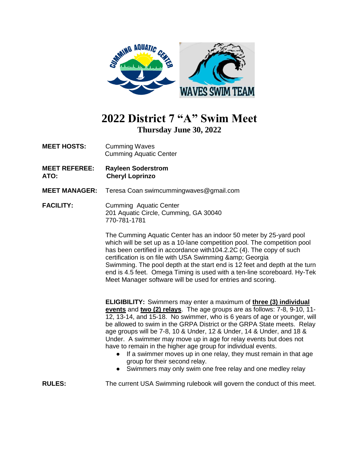

## **2022 District 7 "A" Swim Meet Thursday June 30, 2022**

- **MEET HOSTS:** Cumming Waves Cumming Aquatic Center
- **MEET REFEREE: Rayleen Soderstrom ATO: Cheryl Loprinzo**
- **MEET MANAGER:** Teresa Coan swimcummingwaves@gmail.com
- **FACILITY:** Cumming Aquatic Center 201 Aquatic Circle, Cumming, GA 30040 770-781-1781

The Cumming Aquatic Center has an indoor 50 meter by 25-yard pool which will be set up as a 10-lane competition pool. The competition pool has been certified in accordance with104.2.2C (4). The copy of such certification is on file with USA Swimming & amp; Georgia Swimming. The pool depth at the start end is 12 feet and depth at the turn end is 4.5 feet. Omega Timing is used with a ten-line scoreboard. Hy-Tek Meet Manager software will be used for entries and scoring.

**ELIGIBILITY:** Swimmers may enter a maximum of **three (3) individual events** and **two (2) relays**. The age groups are as follows: 7-8, 9-10, 11- 12, 13-14, and 15-18. No swimmer, who is 6 years of age or younger, will be allowed to swim in the GRPA District or the GRPA State meets. Relay age groups will be 7-8, 10 & Under, 12 & Under, 14 & Under, and 18 & Under. A swimmer may move up in age for relay events but does not have to remain in the higher age group for individual events.

- If a swimmer moves up in one relay, they must remain in that age group for their second relay.
- Swimmers may only swim one free relay and one medley relay

**RULES:** The current USA Swimming rulebook will govern the conduct of this meet.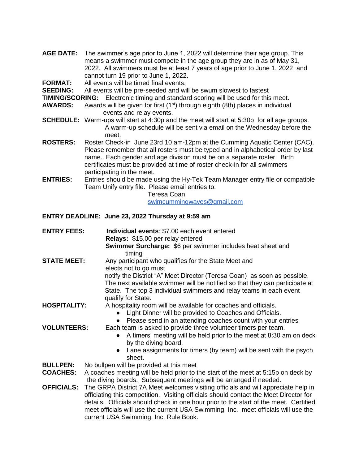- **AGE DATE:** The swimmer's age prior to June 1, 2022 will determine their age group. This means a swimmer must compete in the age group they are in as of May 31, 2022. All swimmers must be at least 7 years of age prior to June 1, 2022 and cannot turn 19 prior to June 1, 2022.
- **FORMAT:** All events will be timed final events.

**SEEDING:** All events will be pre-seeded and will be swum slowest to fastest

**TIMING/SCORING:** Electronic timing and standard scoring will be used for this meet.

- **AWARDS:** Awards will be given for first (1<sup>st</sup>) through eighth (8th) places in individual events and relay events.
- **SCHEDULE:** Warm-ups will start at 4:30p and the meet will start at 5:30p for all age groups. A warm-up schedule will be sent via email on the Wednesday before the meet.
- **ROSTERS:** Roster Check-in June 23rd 10 am-12pm at the Cumming Aquatic Center (CAC). Please remember that all rosters must be typed and in alphabetical order by last name. Each gender and age division must be on a separate roster. Birth certificates must be provided at time of roster check-in for all swimmers participating in the meet.
- **ENTRIES:** Entries should be made using the Hy-Tek Team Manager entry file or compatible Team Unify entry file. Please email entries to:

Teresa Coan [swimcummingwaves@gmail.com](mailto:swimcummingwaves@gmail.com)

#### **ENTRY DEADLINE: June 23, 2022 Thursday at 9:59 am**

- **ENTRY FEES: Individual events**: \$7.00 each event entered **Relays:** \$15.00 per relay entered **Swimmer Surcharge:** \$6 per swimmer includes heat sheet and timing **STATE MEET:** Any participant who qualifies for the State Meet and elects not to go must notify the District "A" Meet Director (Teresa Coan) as soon as possible. The next available swimmer will be notified so that they can participate at State. The top 3 individual swimmers and relay teams in each event qualify for State. **HOSPITALITY:** A hospitality room will be available for coaches and officials. ● Light Dinner will be provided to Coaches and Officials. ● Please send in an attending coaches count with your entries **VOLUNTEERS:** Each team is asked to provide three volunteer timers per team. ● A timers' meeting will be held prior to the meet at 8:30 am on deck by the diving board. ● Lane assignments for timers (by team) will be sent with the psych sheet. **BULLPEN:** No bullpen will be provided at this meet **COACHES:** A coaches meeting will be held prior to the start of the meet at 5:15p on deck by the diving boards. Subsequent meetings will be arranged if needed.
- **OFFICIALS:** The GRPA District 7A Meet welcomes visiting officials and will appreciate help in officiating this competition. Visiting officials should contact the Meet Director for details. Officials should check in one hour prior to the start of the meet. Certified meet officials will use the current USA Swimming, Inc. meet officials will use the current USA Swimming, Inc. Rule Book.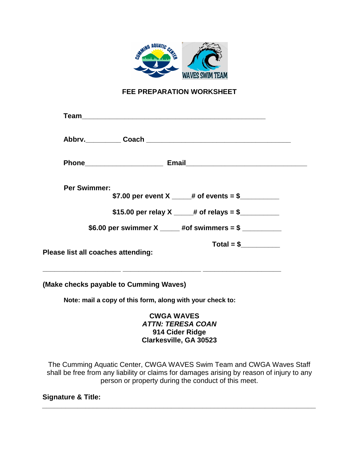

### **FEE PREPARATION WORKSHEET**

| <b>Per Swimmer:</b> | \$7.00 per event X _____# of events = \$________                                      |
|---------------------|---------------------------------------------------------------------------------------|
|                     | \$15.00 per relay X $\_\_\_\#$ of relays = \$                                         |
|                     | \$6.00 per swimmer X _____ #of swimmers = $\frac{1}{2}$ _____________________________ |
|                     | $Total = $$<br>Please list all coaches attending:                                     |
|                     | (Make checks payable to Cumming Waves)                                                |
|                     | Note: mail a copy of this form, along with your check to:                             |
|                     | <b>CWGA WAVES</b>                                                                     |

## *ATTN: TERESA COAN* **914 Cider Ridge Clarkesville, GA 30523**

The Cumming Aquatic Center, CWGA WAVES Swim Team and CWGA Waves Staff shall be free from any liability or claims for damages arising by reason of injury to any person or property during the conduct of this meet.

**\_\_\_\_\_\_\_\_\_\_\_\_\_\_\_\_\_\_\_\_\_\_\_\_\_\_\_\_\_\_\_\_\_\_\_\_\_\_\_\_\_\_\_\_\_\_\_\_\_\_\_\_\_\_\_\_\_\_\_\_\_\_\_\_\_\_\_\_\_\_**

**Signature & Title:**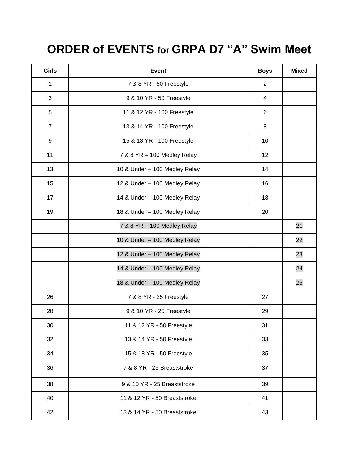# **ORDER of EVENTS for GRPA D7 "A" Swim Meet**

| Girls          | <b>Event</b>                  | <b>Boys</b> | <b>Mixed</b> |
|----------------|-------------------------------|-------------|--------------|
| 1              | 7 & 8 YR - 50 Freestyle       | 2           |              |
| 3              | 9 & 10 YR - 50 Freestyle      | 4           |              |
| 5              | 11 & 12 YR - 100 Freestyle    | 6           |              |
| $\overline{7}$ | 13 & 14 YR - 100 Freestyle    | 8           |              |
| 9              | 15 & 18 YR - 100 Freestyle    | 10          |              |
| 11             | 7 & 8 YR - 100 Medley Relay   | 12          |              |
| 13             | 10 & Under - 100 Medley Relay | 14          |              |
| 15             | 12 & Under - 100 Medley Relay | 16          |              |
| 17             | 14 & Under - 100 Medley Relay | 18          |              |
| 19             | 18 & Under - 100 Medley Relay | 20          |              |
|                | 7 & 8 YR - 100 Medley Relay   |             | 21           |
|                | 10 & Under - 100 Medley Relay |             | 22           |
|                | 12 & Under - 100 Medley Relay |             | 23           |
|                | 14 & Under - 100 Medley Relay |             | 24           |
|                | 18 & Under - 100 Medley Relay |             | 25           |
| 26             | 7 & 8 YR - 25 Freestyle       | 27          |              |
| 28             | 9 & 10 YR - 25 Freestyle      | 29          |              |
| 30             | 11 & 12 YR - 50 Freestyle     | 31          |              |
| 32             | 13 & 14 YR - 50 Freestyle     | 33          |              |
| 34             | 15 & 18 YR - 50 Freestyle     | 35          |              |
| 36             | 7 & 8 YR - 25 Breaststroke    | 37          |              |
| 38             | 9 & 10 YR - 25 Breaststroke   | 39          |              |
| 40             | 11 & 12 YR - 50 Breaststroke  | 41          |              |
| 42             | 13 & 14 YR - 50 Breaststroke  | 43          |              |